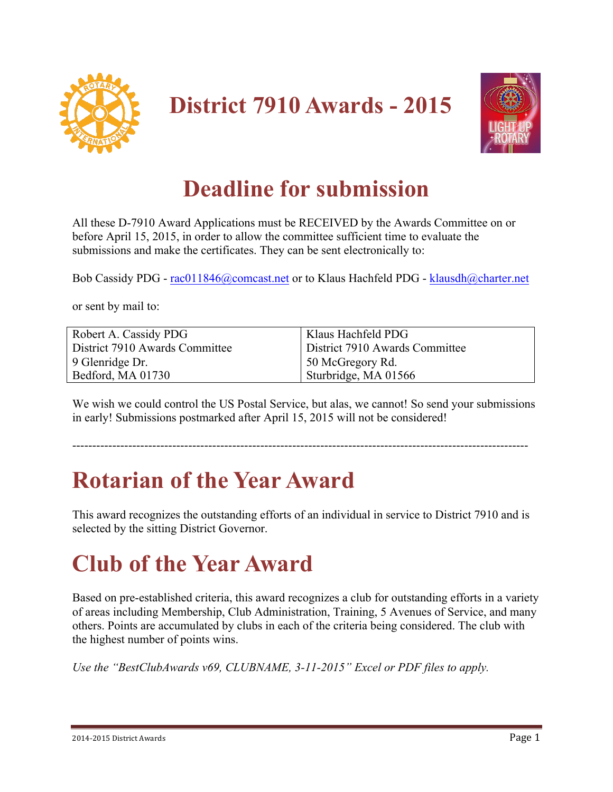

**District 7910 Awards - 2015**



#### **Deadline for submission**

All these D-7910 Award Applications must be RECEIVED by the Awards Committee on or before April 15, 2015, in order to allow the committee sufficient time to evaluate the submissions and make the certificates. They can be sent electronically to:

Bob Cassidy PDG - rac011846@comcast.net or to Klaus Hachfeld PDG - klausdh@charter.net

or sent by mail to:

| Robert A. Cassidy PDG          | Klaus Hachfeld PDG             |
|--------------------------------|--------------------------------|
| District 7910 Awards Committee | District 7910 Awards Committee |
| 9 Glenridge Dr.                | 50 McGregory Rd.               |
| Bedford, MA 01730              | Sturbridge, MA 01566           |

We wish we could control the US Postal Service, but alas, we cannot! So send your submissions in early! Submissions postmarked after April 15, 2015 will not be considered!

#### ------------------------------------------------------------------------------------------------------------------

## **Rotarian of the Year Award**

This award recognizes the outstanding efforts of an individual in service to District 7910 and is selected by the sitting District Governor.

## **Club of the Year Award**

Based on pre-established criteria, this award recognizes a club for outstanding efforts in a variety of areas including Membership, Club Administration, Training, 5 Avenues of Service, and many others. Points are accumulated by clubs in each of the criteria being considered. The club with the highest number of points wins.

*Use the "BestClubAwards v69, CLUBNAME, 3-11-2015" Excel or PDF files to apply.*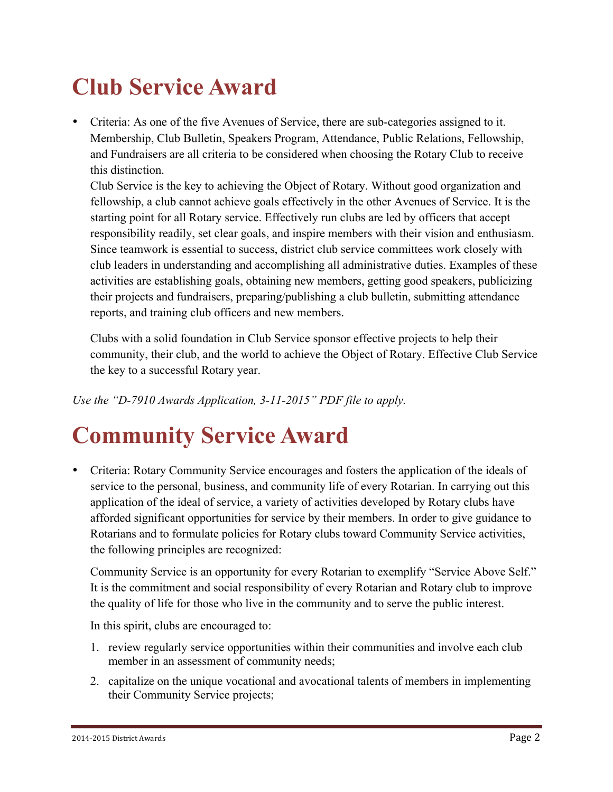## **Club Service Award**

• Criteria: As one of the five Avenues of Service, there are sub-categories assigned to it. Membership, Club Bulletin, Speakers Program, Attendance, Public Relations, Fellowship, and Fundraisers are all criteria to be considered when choosing the Rotary Club to receive this distinction.

Club Service is the key to achieving the Object of Rotary. Without good organization and fellowship, a club cannot achieve goals effectively in the other Avenues of Service. It is the starting point for all Rotary service. Effectively run clubs are led by officers that accept responsibility readily, set clear goals, and inspire members with their vision and enthusiasm. Since teamwork is essential to success, district club service committees work closely with club leaders in understanding and accomplishing all administrative duties. Examples of these activities are establishing goals, obtaining new members, getting good speakers, publicizing their projects and fundraisers, preparing/publishing a club bulletin, submitting attendance reports, and training club officers and new members.

Clubs with a solid foundation in Club Service sponsor effective projects to help their community, their club, and the world to achieve the Object of Rotary. Effective Club Service the key to a successful Rotary year.

*Use the "D-7910 Awards Application, 3-11-2015" PDF file to apply.*

#### **Community Service Award**

• Criteria: Rotary Community Service encourages and fosters the application of the ideals of service to the personal, business, and community life of every Rotarian. In carrying out this application of the ideal of service, a variety of activities developed by Rotary clubs have afforded significant opportunities for service by their members. In order to give guidance to Rotarians and to formulate policies for Rotary clubs toward Community Service activities, the following principles are recognized:

Community Service is an opportunity for every Rotarian to exemplify "Service Above Self." It is the commitment and social responsibility of every Rotarian and Rotary club to improve the quality of life for those who live in the community and to serve the public interest.

In this spirit, clubs are encouraged to:

- 1. review regularly service opportunities within their communities and involve each club member in an assessment of community needs;
- 2. capitalize on the unique vocational and avocational talents of members in implementing their Community Service projects;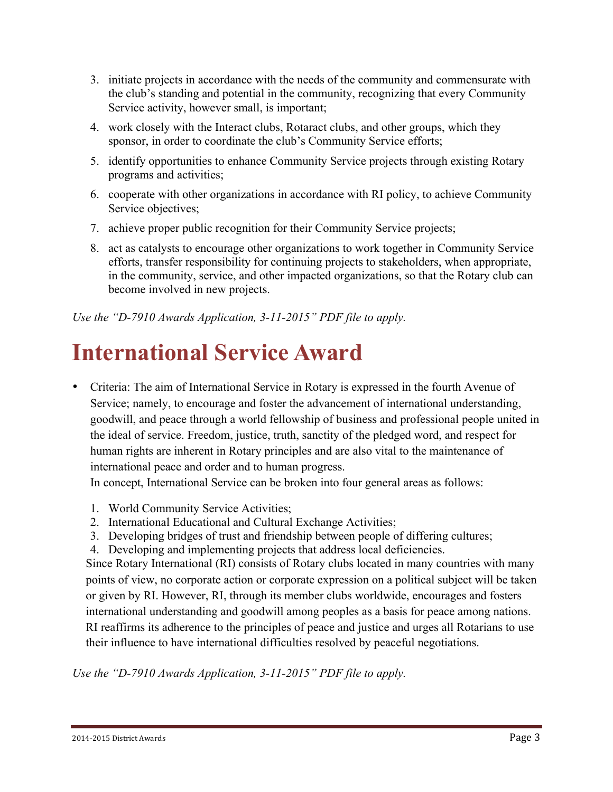- 3. initiate projects in accordance with the needs of the community and commensurate with the club's standing and potential in the community, recognizing that every Community Service activity, however small, is important;
- 4. work closely with the Interact clubs, Rotaract clubs, and other groups, which they sponsor, in order to coordinate the club's Community Service efforts;
- 5. identify opportunities to enhance Community Service projects through existing Rotary programs and activities;
- 6. cooperate with other organizations in accordance with RI policy, to achieve Community Service objectives;
- 7. achieve proper public recognition for their Community Service projects;
- 8. act as catalysts to encourage other organizations to work together in Community Service efforts, transfer responsibility for continuing projects to stakeholders, when appropriate, in the community, service, and other impacted organizations, so that the Rotary club can become involved in new projects.

*Use the "D-7910 Awards Application, 3-11-2015" PDF file to apply.*

#### **International Service Award**

• Criteria: The aim of International Service in Rotary is expressed in the fourth Avenue of Service; namely, to encourage and foster the advancement of international understanding, goodwill, and peace through a world fellowship of business and professional people united in the ideal of service. Freedom, justice, truth, sanctity of the pledged word, and respect for human rights are inherent in Rotary principles and are also vital to the maintenance of international peace and order and to human progress.

In concept, International Service can be broken into four general areas as follows:

- 1. World Community Service Activities;
- 2. International Educational and Cultural Exchange Activities;
- 3. Developing bridges of trust and friendship between people of differing cultures;
- 4. Developing and implementing projects that address local deficiencies.

Since Rotary International (RI) consists of Rotary clubs located in many countries with many points of view, no corporate action or corporate expression on a political subject will be taken or given by RI. However, RI, through its member clubs worldwide, encourages and fosters international understanding and goodwill among peoples as a basis for peace among nations. RI reaffirms its adherence to the principles of peace and justice and urges all Rotarians to use their influence to have international difficulties resolved by peaceful negotiations.

*Use the "D-7910 Awards Application, 3-11-2015" PDF file to apply.*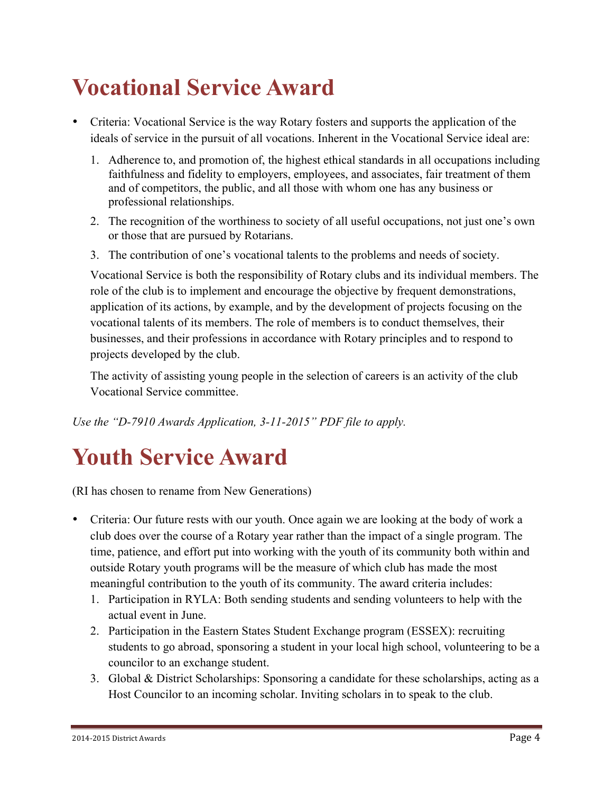## **Vocational Service Award**

- Criteria: Vocational Service is the way Rotary fosters and supports the application of the ideals of service in the pursuit of all vocations. Inherent in the Vocational Service ideal are:
	- 1. Adherence to, and promotion of, the highest ethical standards in all occupations including faithfulness and fidelity to employers, employees, and associates, fair treatment of them and of competitors, the public, and all those with whom one has any business or professional relationships.
	- 2. The recognition of the worthiness to society of all useful occupations, not just one's own or those that are pursued by Rotarians.
	- 3. The contribution of one's vocational talents to the problems and needs of society.

Vocational Service is both the responsibility of Rotary clubs and its individual members. The role of the club is to implement and encourage the objective by frequent demonstrations, application of its actions, by example, and by the development of projects focusing on the vocational talents of its members. The role of members is to conduct themselves, their businesses, and their professions in accordance with Rotary principles and to respond to projects developed by the club.

The activity of assisting young people in the selection of careers is an activity of the club Vocational Service committee.

*Use the "D-7910 Awards Application, 3-11-2015" PDF file to apply.*

## **Youth Service Award**

(RI has chosen to rename from New Generations)

- Criteria: Our future rests with our youth. Once again we are looking at the body of work a club does over the course of a Rotary year rather than the impact of a single program. The time, patience, and effort put into working with the youth of its community both within and outside Rotary youth programs will be the measure of which club has made the most meaningful contribution to the youth of its community. The award criteria includes:
	- 1. Participation in RYLA: Both sending students and sending volunteers to help with the actual event in June.
	- 2. Participation in the Eastern States Student Exchange program (ESSEX): recruiting students to go abroad, sponsoring a student in your local high school, volunteering to be a councilor to an exchange student.
	- 3. Global & District Scholarships: Sponsoring a candidate for these scholarships, acting as a Host Councilor to an incoming scholar. Inviting scholars in to speak to the club.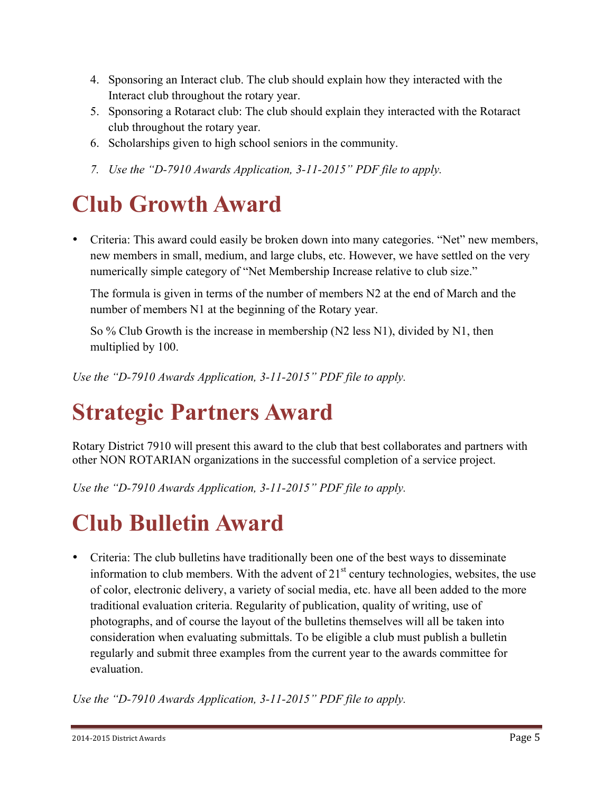- 4. Sponsoring an Interact club. The club should explain how they interacted with the Interact club throughout the rotary year.
- 5. Sponsoring a Rotaract club: The club should explain they interacted with the Rotaract club throughout the rotary year.
- 6. Scholarships given to high school seniors in the community.
- *7. Use the "D-7910 Awards Application, 3-11-2015" PDF file to apply.*

#### **Club Growth Award**

• Criteria: This award could easily be broken down into many categories. "Net" new members, new members in small, medium, and large clubs, etc. However, we have settled on the very numerically simple category of "Net Membership Increase relative to club size."

The formula is given in terms of the number of members N2 at the end of March and the number of members N1 at the beginning of the Rotary year.

So % Club Growth is the increase in membership (N2 less N1), divided by N1, then multiplied by 100.

*Use the "D-7910 Awards Application, 3-11-2015" PDF file to apply.*

## **Strategic Partners Award**

Rotary District 7910 will present this award to the club that best collaborates and partners with other NON ROTARIAN organizations in the successful completion of a service project.

*Use the "D-7910 Awards Application, 3-11-2015" PDF file to apply.*

## **Club Bulletin Award**

• Criteria: The club bulletins have traditionally been one of the best ways to disseminate information to club members. With the advent of  $21<sup>st</sup>$  century technologies, websites, the use of color, electronic delivery, a variety of social media, etc. have all been added to the more traditional evaluation criteria. Regularity of publication, quality of writing, use of photographs, and of course the layout of the bulletins themselves will all be taken into consideration when evaluating submittals. To be eligible a club must publish a bulletin regularly and submit three examples from the current year to the awards committee for evaluation.

*Use the "D-7910 Awards Application, 3-11-2015" PDF file to apply.*